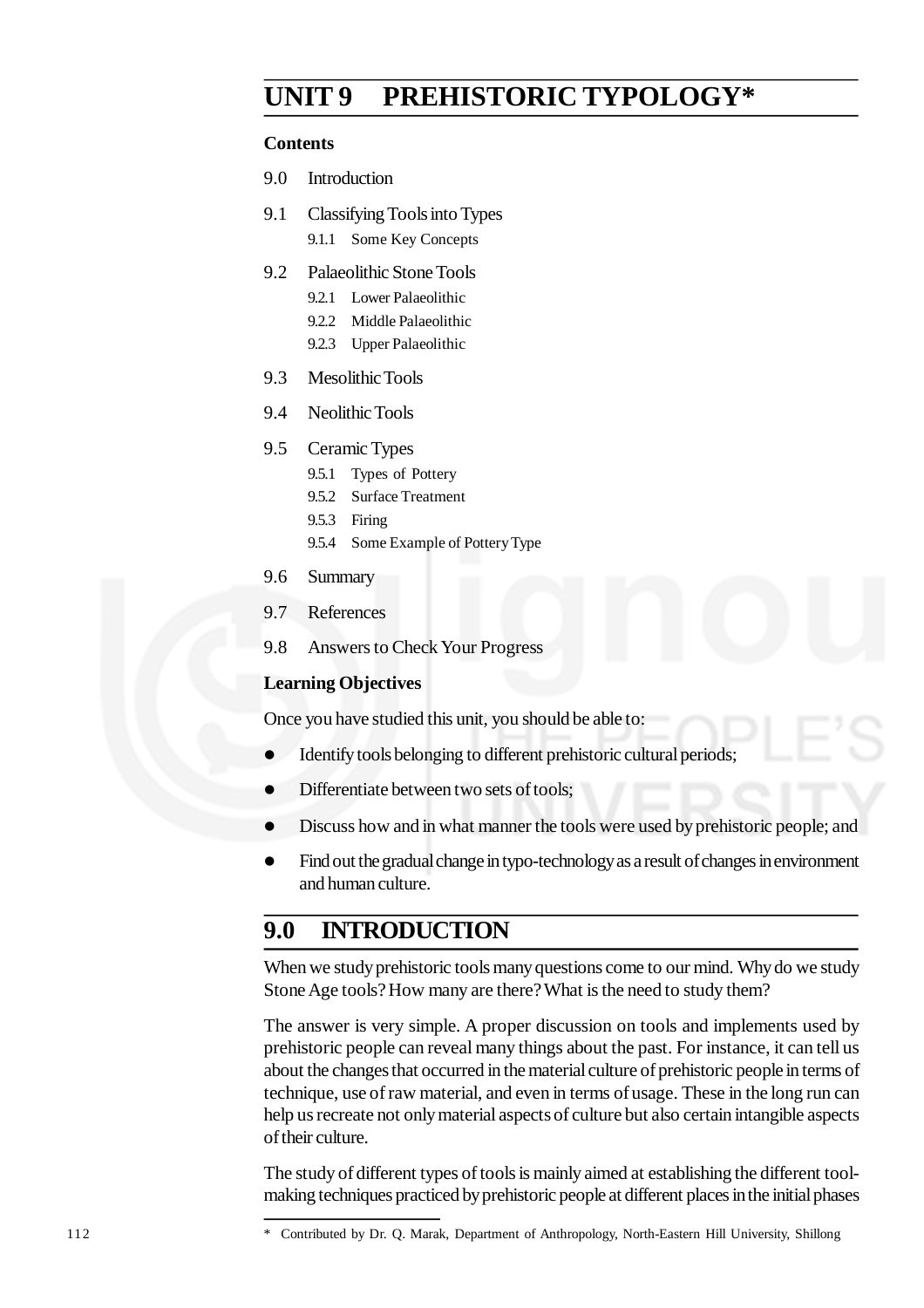## **UNIT 9 PREHISTORIC TYPOLOGY\***

#### **Contents**

- 9.0 Introduction
- 9.1 Classifying Tools into Types 9.1.1 Some Key Concepts
- 9.2 Palaeolithic Stone Tools
	- 9.2.1 Lower Palaeolithic
	- 9.2.2 Middle Palaeolithic
	- 9.2.3 Upper Palaeolithic
- 9.3 Mesolithic Tools
- 9.4 Neolithic Tools
- 9.5 Ceramic Types
	- 9.5.1 Types of Pottery
	- 9.5.2 Surface Treatment
	- 9.5.3 Firing
	- 9.5.4 Some Example of Pottery Type
- 9.6 Summary
- 9.7 References
- 9.8 Answers to Check Your Progress

#### **Learning Objectives**

Once you have studied this unit, you should be able to:

- Identify tools belonging to different prehistoric cultural periods;
- Differentiate between two sets of tools;
- Discuss how and in what manner the tools were used by prehistoric people; and
- Find out the gradual change in typo-technology as a result of changes in environment and human culture.

## **9.0 INTRODUCTION**

When we study prehistoric tools many questions come to our mind. Why do we study Stone Age tools? How many are there? What is the need to study them?

The answer is very simple. A proper discussion on tools and implements used by prehistoric people can reveal many things about the past. For instance, it can tell us about the changes that occurred in the material culture of prehistoric people in terms of technique, use of raw material, and even in terms of usage. These in the long run can help us recreate not only material aspects of culture but also certain intangible aspects of their culture.

The study of different types of tools is mainly aimed at establishing the different toolmaking techniques practiced by prehistoric people at different places in the initial phases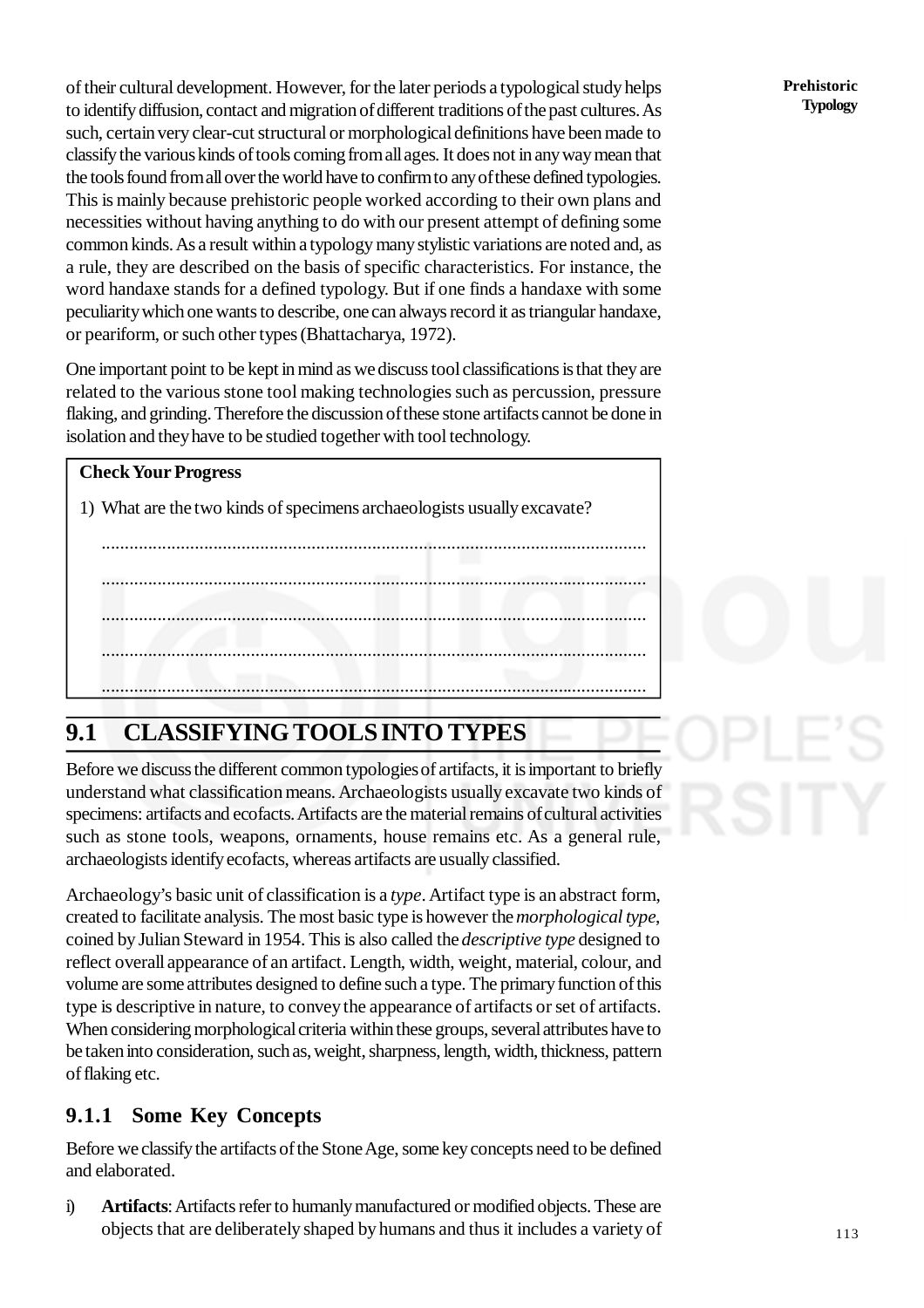of their cultural development. However, for the later periods a typological study helps to identify diffusion, contact and migration of different traditions of the past cultures. As such, certain very clear-cut structural or morphological definitions have been made to classify the various kinds of tools coming from all ages. It does not in any way mean that the tools found from all over the world have to confirm to any of these defined typologies. This is mainly because prehistoric people worked according to their own plans and necessities without having anything to do with our present attempt of defining some common kinds. As a result within a typology many stylistic variations are noted and, as a rule, they are described on the basis of specific characteristics. For instance, the word handaxe stands for a defined typology. But if one finds a handaxe with some peculiarity which one wants to describe, one can always record it as triangular handaxe, or peariform, or such other types (Bhattacharya, 1972).

One important point to be kept in mind as we discuss tool classifications is that they are related to the various stone tool making technologies such as percussion, pressure flaking, and grinding. Therefore the discussion of these stone artifacts cannot be done in isolation and they have to be studied together with tool technology.

.....................................................................................................................

.....................................................................................................................

.....................................................................................................................

.....................................................................................................................

#### **Check Your Progress**

1) What are the two kinds of specimens archaeologists usually excavate?

.....................................................................................................................

# **9.1 CLASSIFYING TOOLS INTO TYPES**

Before we discuss the different common typologies of artifacts, it is important to briefly understand what classification means. Archaeologists usually excavate two kinds of specimens: artifacts and ecofacts. Artifacts are the material remains of cultural activities such as stone tools, weapons, ornaments, house remains etc. As a general rule, archaeologists identify ecofacts, whereas artifacts are usually classified.

Archaeology's basic unit of classification is a *type*. Artifact type is an abstract form, created to facilitate analysis. The most basic type is however the *morphological type*, coined by Julian Steward in 1954. This is also called the *descriptive type* designed to reflect overall appearance of an artifact. Length, width, weight, material, colour, and volume are some attributes designed to define such a type. The primary function of this type is descriptive in nature, to convey the appearance of artifacts or set of artifacts. When considering morphological criteria within these groups, several attributes have to be taken into consideration, such as, weight, sharpness, length, width, thickness, pattern of flaking etc.

## **9.1.1 Some Key Concepts**

Before we classify the artifacts of the Stone Age, some key concepts need to be defined and elaborated.

i) **Artifacts**: Artifacts refer to humanly manufactured or modified objects. These are objects that are deliberately shaped by humans and thus it includes a variety of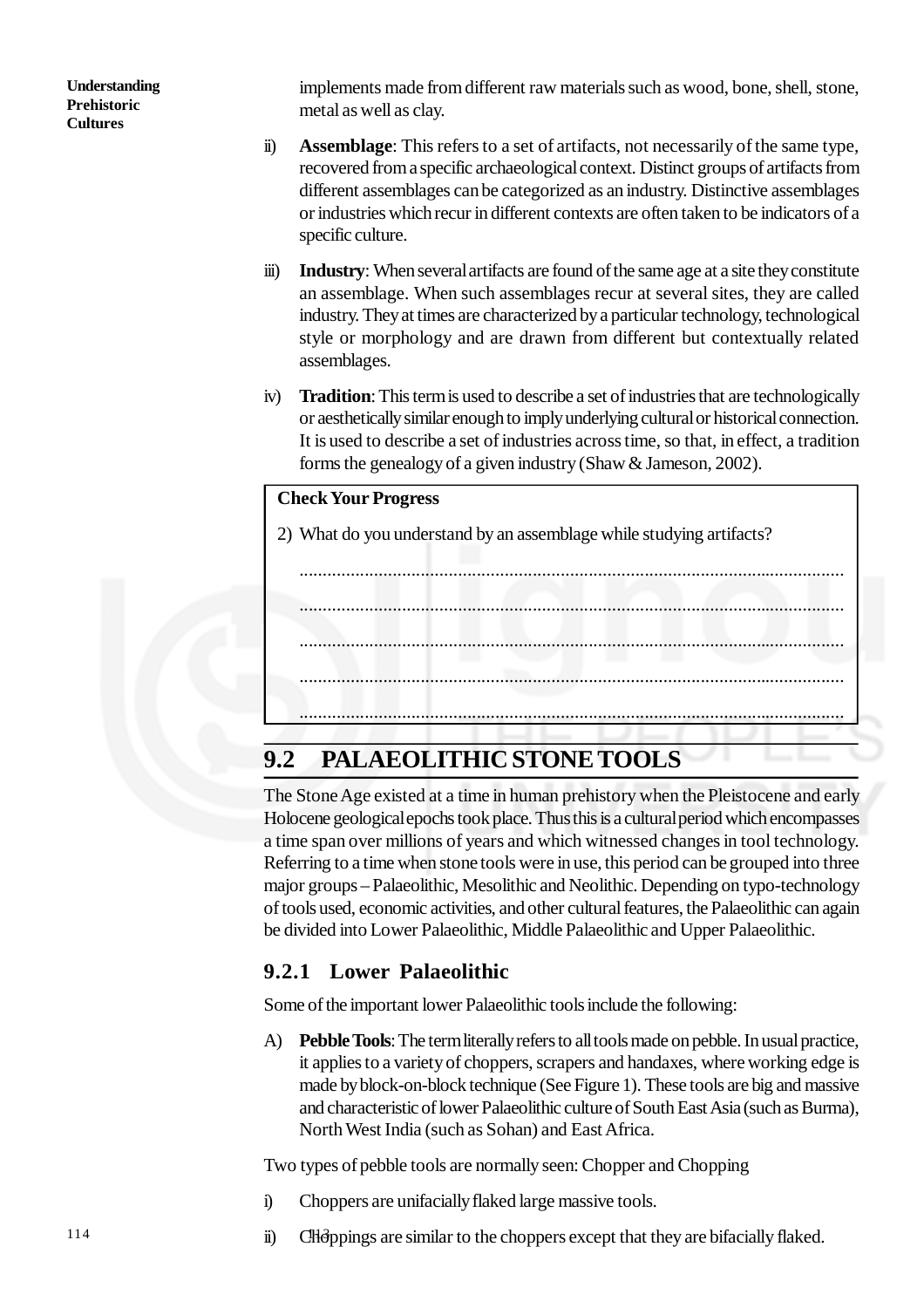implements made from different raw materials such as wood, bone, shell, stone, metal as well as clay.

- ii) **Assemblage**: This refers to a set of artifacts, not necessarily of the same type, recovered from a specific archaeological context. Distinct groups of artifacts from different assemblages can be categorized as an industry. Distinctive assemblages or industries which recur in different contexts are often taken to be indicators of a specific culture.
- iii) **Industry**: When several artifacts are found of the same age at a site they constitute an assemblage. When such assemblages recur at several sites, they are called industry. They at times are characterized by a particular technology, technological style or morphology and are drawn from different but contextually related assemblages.
- iv) **Tradition**: This term is used to describe a set of industries that are technologically or aesthetically similar enough to imply underlying cultural or historical connection. It is used to describe a set of industries across time, so that, in effect, a tradition forms the genealogy of a given industry (Shaw & Jameson, 2002).

#### **Check Your Progress**

2) What do you understand by an assemblage while studying artifacts?

.....................................................................................................................

.....................................................................................................................

.....................................................................................................................

.....................................................................................................................

.....................................................................................................................

# **9.2 PALAEOLITHIC STONE TOOLS**

The Stone Age existed at a time in human prehistory when the Pleistocene and early Holocene geological epochs took place. Thus this is a cultural period which encompasses a time span over millions of years and which witnessed changes in tool technology. Referring to a time when stone tools were in use, this period can be grouped into three major groups – Palaeolithic, Mesolithic and Neolithic. Depending on typo-technology of tools used, economic activities, and other cultural features, the Palaeolithic can again be divided into Lower Palaeolithic, Middle Palaeolithic and Upper Palaeolithic.

## **9.2.1 Lower Palaeolithic**

Some of the important lower Palaeolithic tools include the following:

A) **Pebble Tools**: The term literally refers to all tools made on pebble. In usual practice, it applies to a variety of choppers, scrapers and handaxes, where working edge is made by block-on-block technique (See Figure 1). These tools are big and massive and characteristic of lower Palaeolithic culture of South East Asia (such as Burma), North West India (such as Sohan) and East Africa.

Two types of pebble tools are normally seen: Chopper and Chopping

- i) Choppers are unifacially flaked large massive tools.
- ii) Choppings are similar to the choppers except that they are bifacially flaked.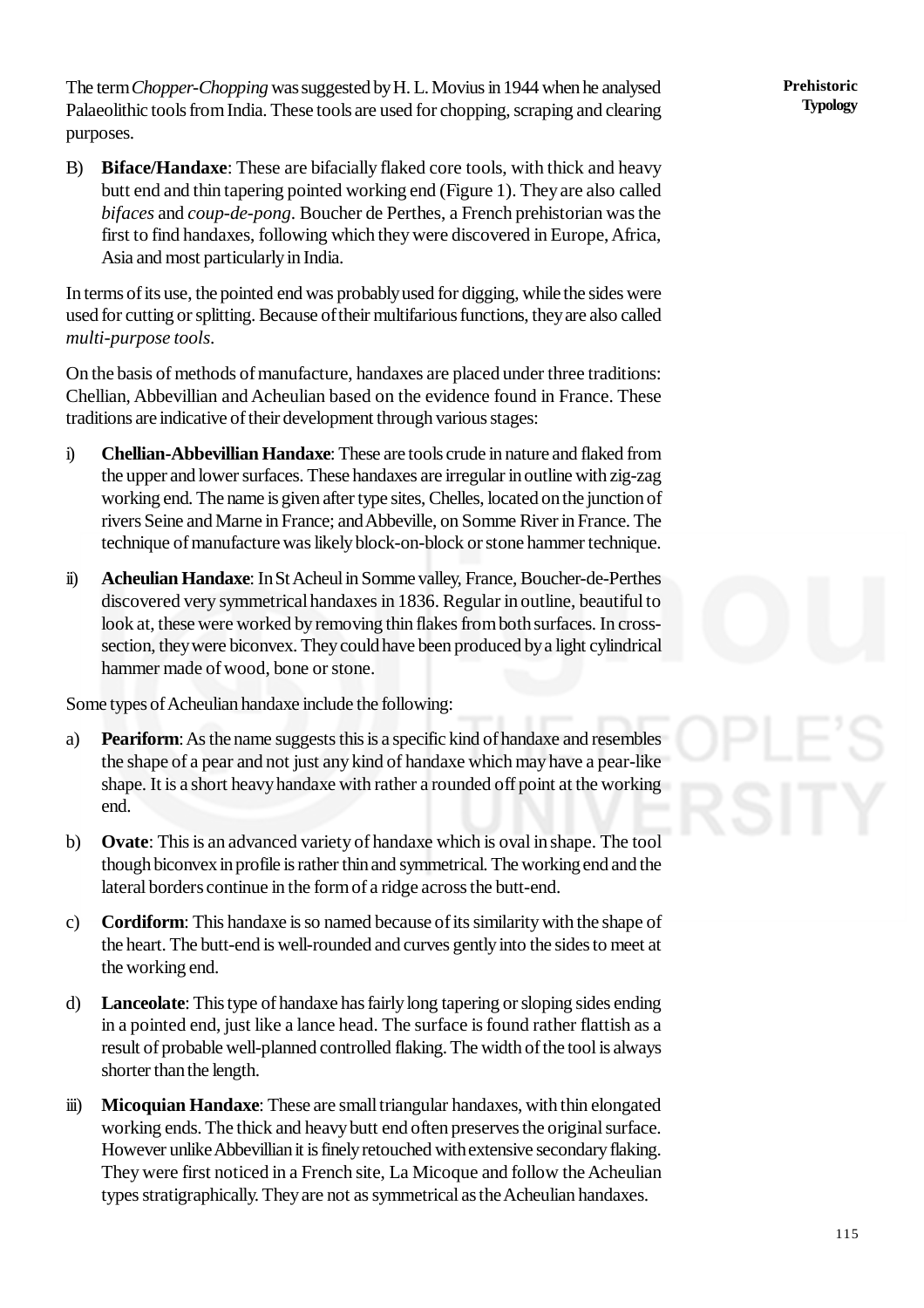The term *Chopper-Chopping* was suggested by H. L. Movius in 1944 when he analysed Palaeolithic tools from India. These tools are used for chopping, scraping and clearing purposes.

B) **Biface/Handaxe**: These are bifacially flaked core tools, with thick and heavy butt end and thin tapering pointed working end (Figure 1). They are also called *bifaces* and *coup-de-pong*. Boucher de Perthes, a French prehistorian was the first to find handaxes, following which they were discovered in Europe, Africa, Asia and most particularly in India.

In terms of its use, the pointed end was probably used for digging, while the sides were used for cutting or splitting. Because of their multifarious functions, they are also called *multi-purpose tools*.

On the basis of methods of manufacture, handaxes are placed under three traditions: Chellian, Abbevillian and Acheulian based on the evidence found in France. These traditions are indicative of their development through various stages:

- i) **Chellian-Abbevillian Handaxe**: These are tools crude in nature and flaked from the upper and lower surfaces. These handaxes are irregular in outline with zig-zag working end. The name is given after type sites, Chelles, located on the junction of rivers Seine and Marne in France; and Abbeville, on Somme River in France. The technique of manufacture was likely block-on-block or stone hammer technique.
- ii) **Acheulian Handaxe**: In St Acheul in Somme valley, France, Boucher-de-Perthes discovered very symmetrical handaxes in 1836. Regular in outline, beautiful to look at, these were worked by removing thin flakes from both surfaces. In crosssection, they were biconvex. They could have been produced by a light cylindrical hammer made of wood, bone or stone.

Some types of Acheulian handaxe include the following:

- a) **Peariform**: As the name suggests this is a specific kind of handaxe and resembles the shape of a pear and not just any kind of handaxe which may have a pear-like shape. It is a short heavy handaxe with rather a rounded off point at the working end.
- b) **Ovate**: This is an advanced variety of handaxe which is oval in shape. The tool though biconvex in profile is rather thin and symmetrical. The working end and the lateral borders continue in the form of a ridge across the butt-end.
- c) **Cordiform**: This handaxe is so named because of its similarity with the shape of the heart. The butt-end is well-rounded and curves gently into the sides to meet at the working end.
- d) **Lanceolate**: This type of handaxe has fairly long tapering or sloping sides ending in a pointed end, just like a lance head. The surface is found rather flattish as a result of probable well-planned controlled flaking. The width of the tool is always shorter than the length.
- iii) **Micoquian Handaxe**: These are small triangular handaxes, with thin elongated working ends. The thick and heavy butt end often preserves the original surface. However unlike Abbevillian it is finely retouched with extensive secondary flaking. They were first noticed in a French site, La Micoque and follow the Acheulian types stratigraphically. They are not as symmetrical as the Acheulian handaxes.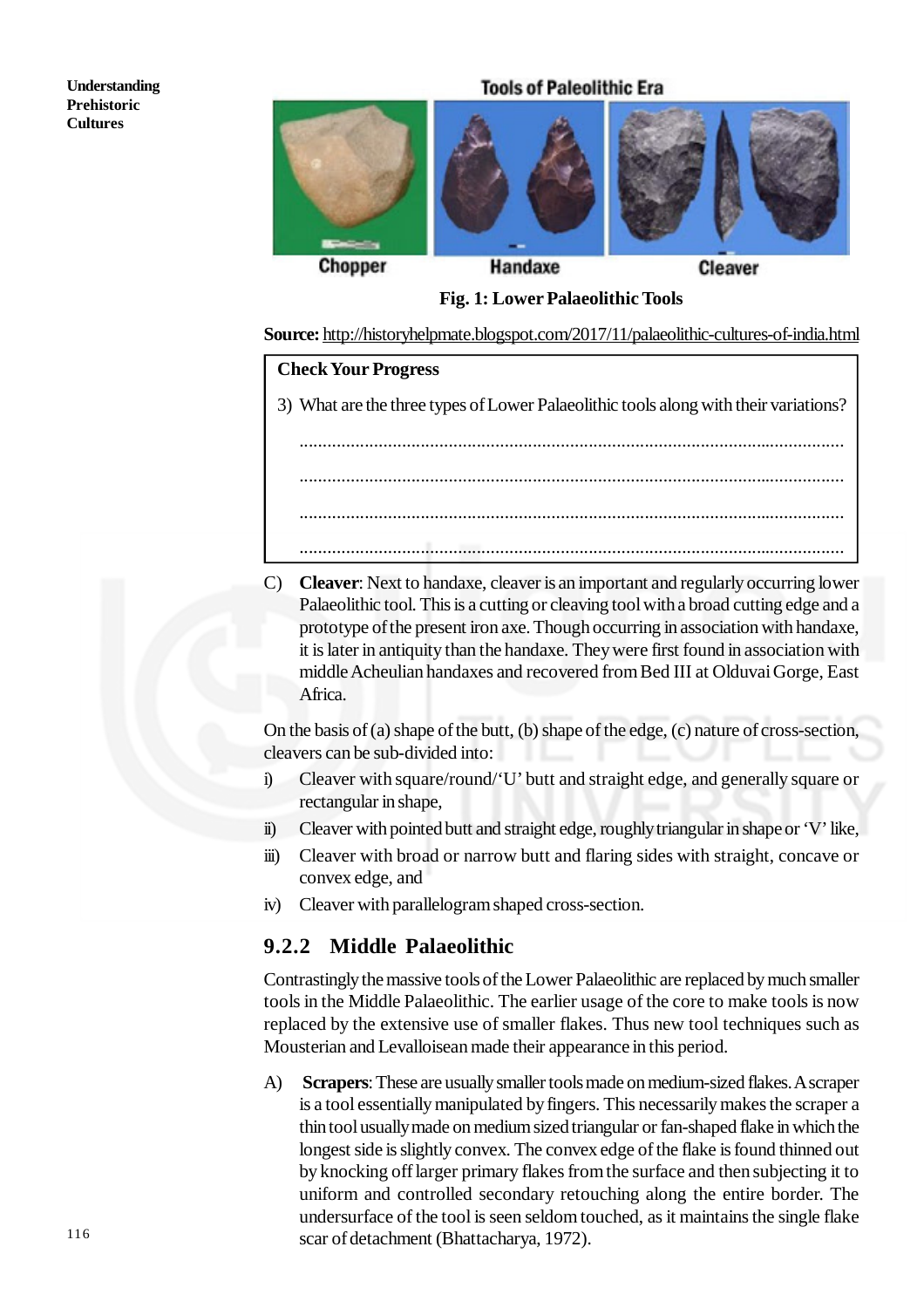

**Fig. 1: Lower Palaeolithic Tools**

**Source:** <http://historyhelpmate.blogspot.com/2017/11/palaeolithic-cultures-of-india.html>

#### **Check Your Progress**

3) What are the three types of Lower Palaeolithic tools along with their variations?

..................................................................................................................... ..................................................................................................................... ..................................................................................................................... .....................................................................................................................

C) **Cleaver**: Next to handaxe, cleaver is an important and regularly occurring lower Palaeolithic tool. This is a cutting or cleaving tool with a broad cutting edge and a prototype of the present iron axe. Though occurring in association with handaxe, it is later in antiquity than the handaxe. They were first found in association with middle Acheulian handaxes and recovered from Bed III at Olduvai Gorge, East Africa.

On the basis of (a) shape of the butt, (b) shape of the edge, (c) nature of cross-section, cleavers can be sub-divided into:

- i) Cleaver with square/round/'U' butt and straight edge, and generally square or rectangular in shape,
- ii) Cleaver with pointed butt and straight edge, roughly triangular in shape or 'V' like,
- iii) Cleaver with broad or narrow butt and flaring sides with straight, concave or convex edge, and
- iv) Cleaver with parallelogram shaped cross-section.

#### **9.2.2 Middle Palaeolithic**

Contrastingly the massive tools of the Lower Palaeolithic are replaced by much smaller tools in the Middle Palaeolithic. The earlier usage of the core to make tools is now replaced by the extensive use of smaller flakes. Thus new tool techniques such as Mousterian and Levalloisean made their appearance in this period.

A) **Scrapers**: These are usually smaller tools made on medium-sized flakes. A scraper is a tool essentially manipulated by fingers. This necessarily makes the scraper a thin tool usually made on medium sized triangular or fan-shaped flake in which the longest side is slightly convex. The convex edge of the flake is found thinned out by knocking off larger primary flakes from the surface and then subjecting it to uniform and controlled secondary retouching along the entire border. The undersurface of the tool is seen seldom touched, as it maintains the single flake scar of detachment (Bhattacharya, 1972).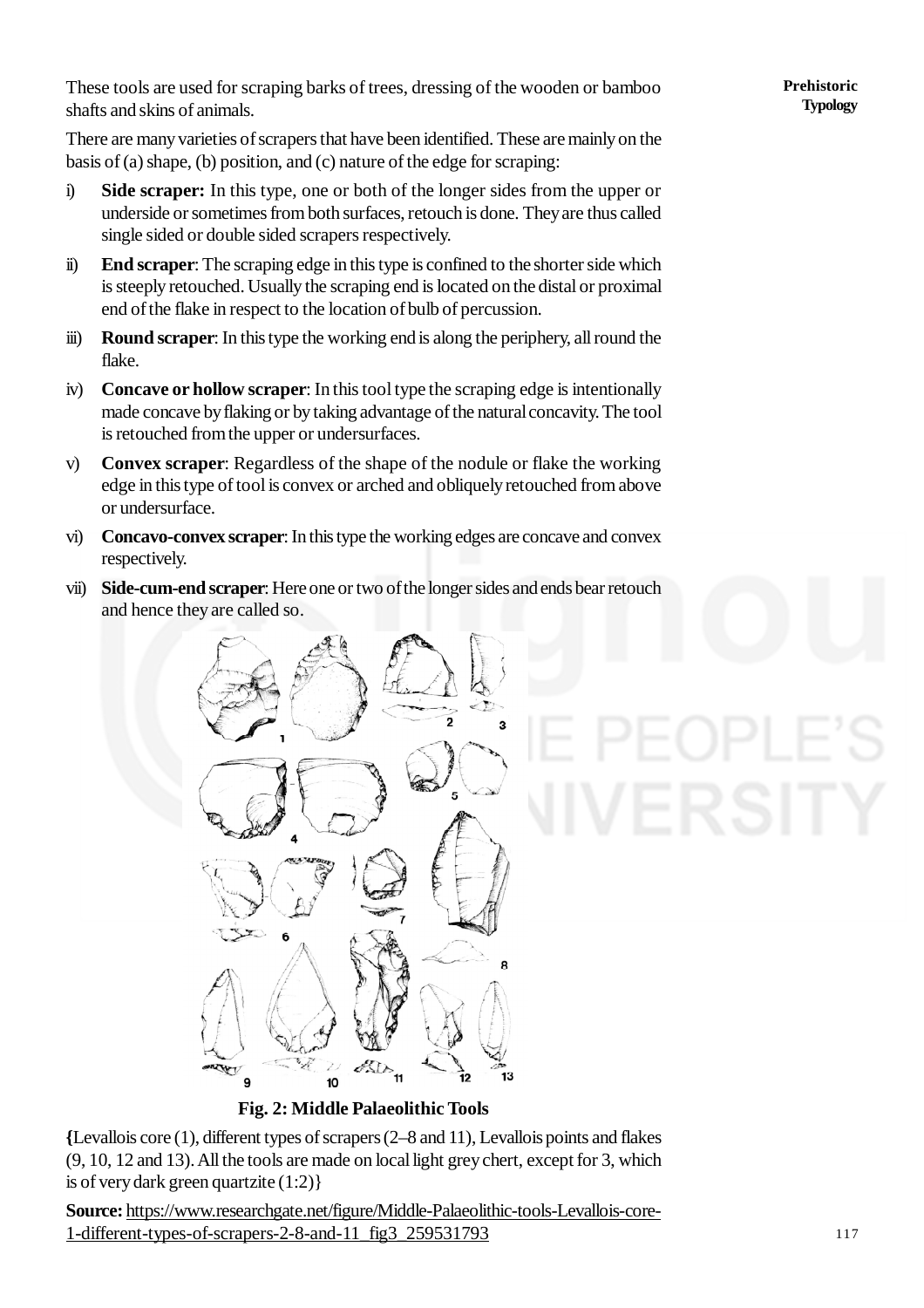These tools are used for scraping barks of trees, dressing of the wooden or bamboo shafts and skins of animals.

There are many varieties of scrapers that have been identified. These are mainly on the basis of (a) shape, (b) position, and (c) nature of the edge for scraping:

- i) **Side scraper:** In this type, one or both of the longer sides from the upper or underside or sometimes from both surfaces, retouch is done. They are thus called single sided or double sided scrapers respectively.
- ii) **End scraper**: The scraping edge in this type is confined to the shorter side which is steeply retouched. Usually the scraping end is located on the distal or proximal end of the flake in respect to the location of bulb of percussion.
- iii) **Round scraper**: In this type the working end is along the periphery, all round the flake.
- iv) **Concave or hollow scraper**: In this tool type the scraping edge is intentionally made concave by flaking or by taking advantage of the natural concavity. The tool is retouched from the upper or undersurfaces.
- v) **Convex scraper**: Regardless of the shape of the nodule or flake the working edge in this type of tool is convex or arched and obliquely retouched from above or undersurface.
- vi) **Concavo-convex scraper**: In this type the working edges are concave and convex respectively.
- vii) **Side-cum-end scraper**: Here one or two of the longer sides and ends bear retouch and hence they are called so.



**Fig. 2: Middle Palaeolithic Tools**

**{**Levallois core (1), different types of scrapers (2–8 and 11), Levallois points and flakes (9, 10, 12 and 13). All the tools are made on local light grey chert, except for 3, which is of very dark green quartzite (1:2)}

**Source:** <https://www.researchgate.net/figure/Middle-Palaeolithic-tools-Levallois-core->1-different-types-of-scrapers-2-8-and-11\_fig3\_259531793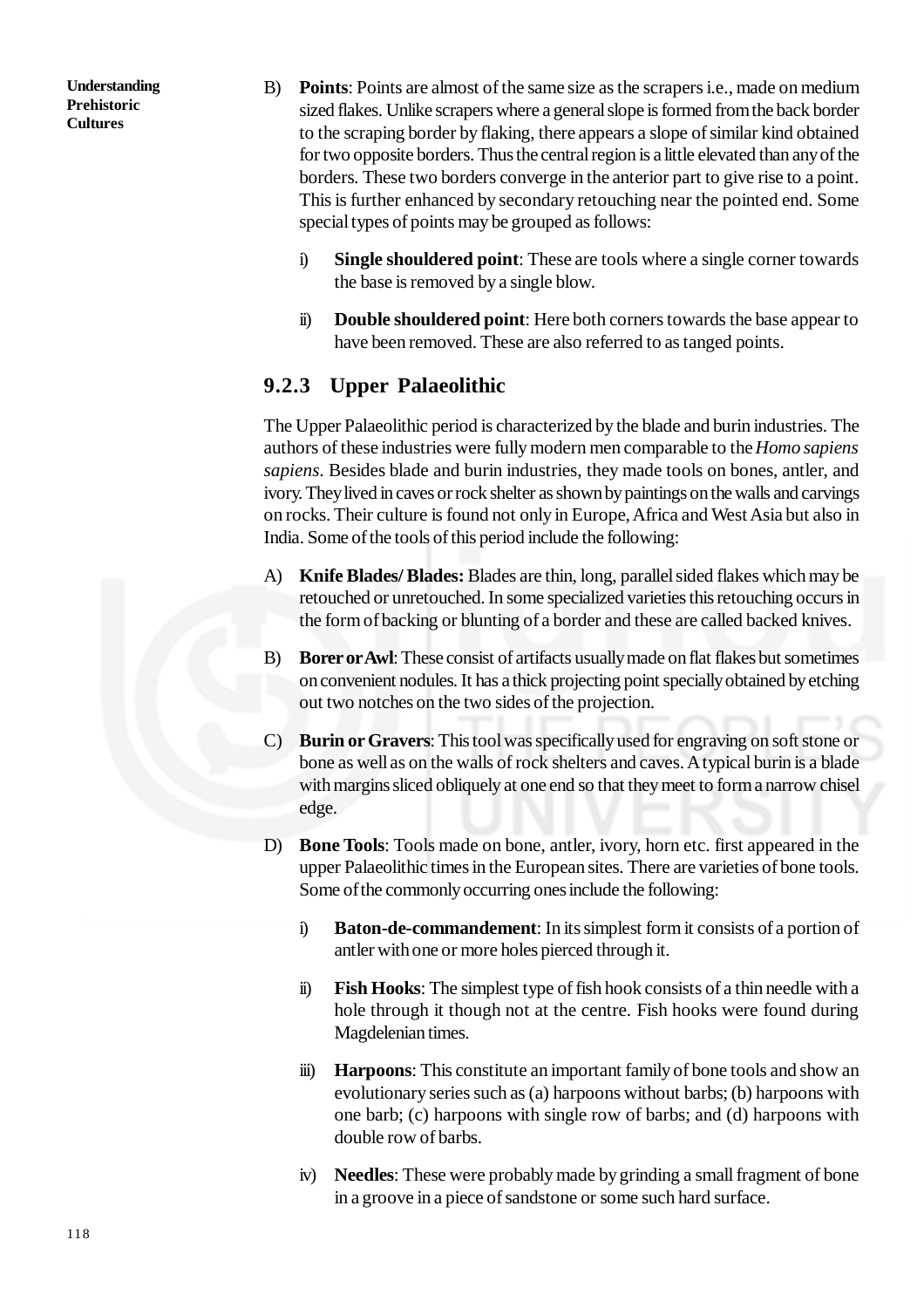- B) **Points**: Points are almost of the same size as the scrapers i.e., made on medium sized flakes. Unlike scrapers where a general slope is formed from the back border to the scraping border by flaking, there appears a slope of similar kind obtained for two opposite borders. Thus the central region is a little elevated than any of the borders. These two borders converge in the anterior part to give rise to a point. This is further enhanced by secondary retouching near the pointed end. Some special types of points may be grouped as follows:
	- i) **Single shouldered point**: These are tools where a single corner towards the base is removed by a single blow.
	- ii) **Double shouldered point**: Here both corners towards the base appear to have been removed. These are also referred to as tanged points.

## **9.2.3 Upper Palaeolithic**

The Upper Palaeolithic period is characterized by the blade and burin industries. The authors of these industries were fully modern men comparable to the *Homo sapiens sapiens*. Besides blade and burin industries, they made tools on bones, antler, and ivory. They lived in caves or rock shelter as shown by paintings on the walls and carvings on rocks. Their culture is found not only in Europe, Africa and West Asia but also in India. Some of the tools of this period include the following:

- A) **Knife Blades/ Blades:** Blades are thin, long, parallel sided flakes which may be retouched or unretouched. In some specialized varieties this retouching occurs in the form of backing or blunting of a border and these are called backed knives.
- B) **Borer or Awl**: These consist of artifacts usually made on flat flakes but sometimes on convenient nodules. It has a thick projecting point specially obtained by etching out two notches on the two sides of the projection.
- C) **Burin or Gravers**: This tool was specifically used for engraving on soft stone or bone as well as on the walls of rock shelters and caves. A typical burin is a blade with margins sliced obliquely at one end so that they meet to form a narrow chisel edge.
- D) **Bone Tools**: Tools made on bone, antler, ivory, horn etc. first appeared in the upper Palaeolithic times in the European sites. There are varieties of bone tools. Some of the commonly occurring ones include the following:
	- i) **Baton-de-commandement**: In its simplest form it consists of a portion of antler with one or more holes pierced through it.
	- ii) **Fish Hooks**: The simplest type of fish hook consists of a thin needle with a hole through it though not at the centre. Fish hooks were found during Magdelenian times.
	- iii) **Harpoons**: This constitute an important family of bone tools and show an evolutionary series such as (a) harpoons without barbs; (b) harpoons with one barb; (c) harpoons with single row of barbs; and (d) harpoons with double row of barbs.
	- iv) **Needles**: These were probably made by grinding a small fragment of bone in a groove in a piece of sandstone or some such hard surface.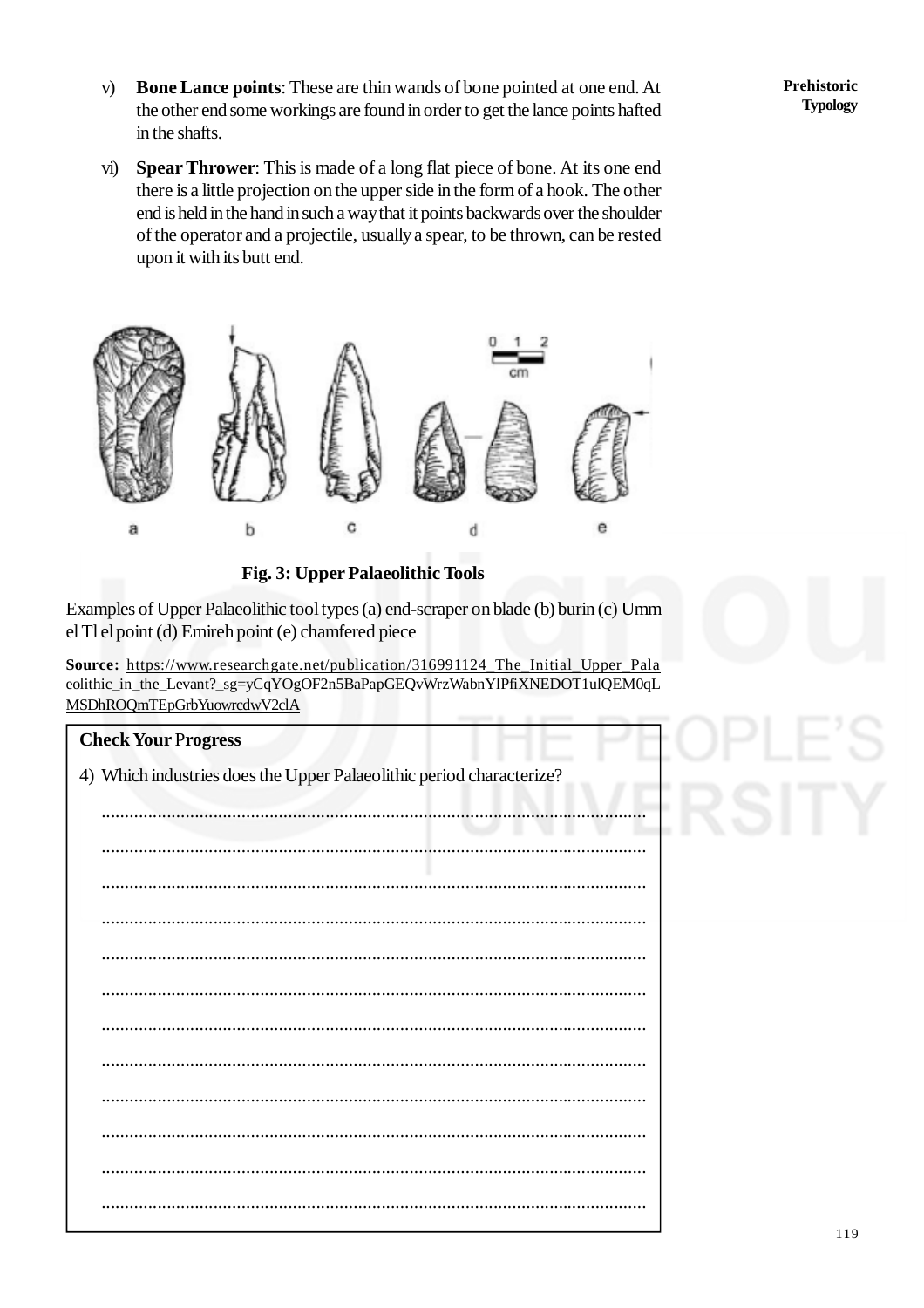- v) **Bone Lance points**: These are thin wands of bone pointed at one end. At the other end some workings are found in order to get the lance points hafted in the shafts.
- vi) **Spear Thrower**: This is made of a long flat piece of bone. At its one end there is a little projection on the upper side in the form of a hook. The other end is held in the hand in such a way that it points backwards over the shoulder of the operator and a projectile, usually a spear, to be thrown, can be rested upon it with its butt end.



**Fig. 3: Upper Palaeolithic Tools**

Examples of Upper Palaeolithic tool types (a) end-scraper on blade (b) burin (c) Umm el Tl el point (d) Emireh point (e) chamfered piece

**Source:** [https://www.researchgate.net/publication/316991124\\_The\\_Initial\\_Upper\\_Pala](https://www.researchgate.net/publication/316991124_The_Initial_Upper_Pala) eolithic\_in\_the\_Levant?\_sg=yCqYOgOF2n5BaPapGEQvWrzWabnYlPfiXNEDOT1ulQEM0qL MSDhROQmTEpGrbYuowrcdwV2clA

| <b>Check Your Progress</b>                                           |
|----------------------------------------------------------------------|
| 4) Which industries does the Upper Palaeolithic period characterize? |
|                                                                      |
|                                                                      |
|                                                                      |
|                                                                      |
|                                                                      |
|                                                                      |
|                                                                      |
|                                                                      |
|                                                                      |
|                                                                      |
|                                                                      |
|                                                                      |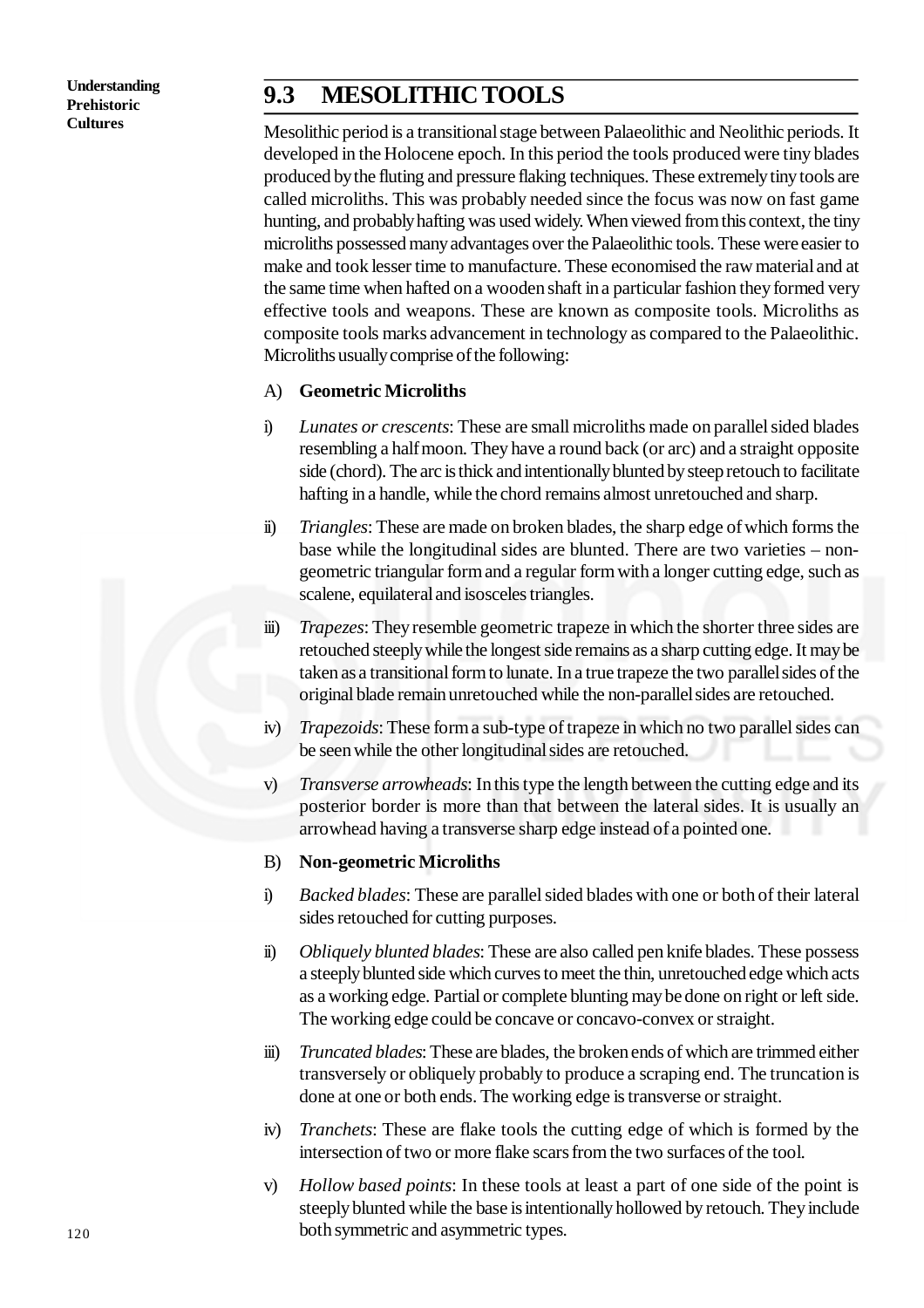## **9.3 MESOLITHIC TOOLS**

Mesolithic period is a transitional stage between Palaeolithic and Neolithic periods. It developed in the Holocene epoch. In this period the tools produced were tiny blades produced by the fluting and pressure flaking techniques. These extremely tiny tools are called microliths. This was probably needed since the focus was now on fast game hunting, and probably hafting was used widely. When viewed from this context, the tiny microliths possessed many advantages over the Palaeolithic tools. These were easier to make and took lesser time to manufacture. These economised the raw material and at the same time when hafted on a wooden shaft in a particular fashion they formed very effective tools and weapons. These are known as composite tools. Microliths as composite tools marks advancement in technology as compared to the Palaeolithic. Microliths usually comprise of the following:

#### A) **Geometric Microliths**

- i) *Lunates or crescents*: These are small microliths made on parallel sided blades resembling a half moon. They have a round back (or arc) and a straight opposite side (chord). The arc is thick and intentionally blunted by steep retouch to facilitate hafting in a handle, while the chord remains almost unretouched and sharp.
- ii) *Triangles*: These are made on broken blades, the sharp edge of which forms the base while the longitudinal sides are blunted. There are two varieties – nongeometric triangular form and a regular form with a longer cutting edge, such as scalene, equilateral and isosceles triangles.
- iii) *Trapezes*: They resemble geometric trapeze in which the shorter three sides are retouched steeply while the longest side remains as a sharp cutting edge. It may be taken as a transitional form to lunate. In a true trapeze the two parallel sides of the original blade remain unretouched while the non-parallel sides are retouched.
- iv) *Trapezoids*: These form a sub-type of trapeze in which no two parallel sides can be seen while the other longitudinal sides are retouched.
- v) *Transverse arrowheads*: In this type the length between the cutting edge and its posterior border is more than that between the lateral sides. It is usually an arrowhead having a transverse sharp edge instead of a pointed one.

#### B) **Non-geometric Microliths**

- i) *Backed blades*: These are parallel sided blades with one or both of their lateral sides retouched for cutting purposes.
- ii) *Obliquely blunted blades*: These are also called pen knife blades. These possess a steeply blunted side which curves to meet the thin, unretouched edge which acts as a working edge. Partial or complete blunting may be done on right or left side. The working edge could be concave or concavo-convex or straight.
- iii) *Truncated blades*: These are blades, the broken ends of which are trimmed either transversely or obliquely probably to produce a scraping end. The truncation is done at one or both ends. The working edge is transverse or straight.
- iv) *Tranchets*: These are flake tools the cutting edge of which is formed by the intersection of two or more flake scars from the two surfaces of the tool.
- v) *Hollow based points*: In these tools at least a part of one side of the point is steeply blunted while the base is intentionally hollowed by retouch. They include both symmetric and asymmetric types.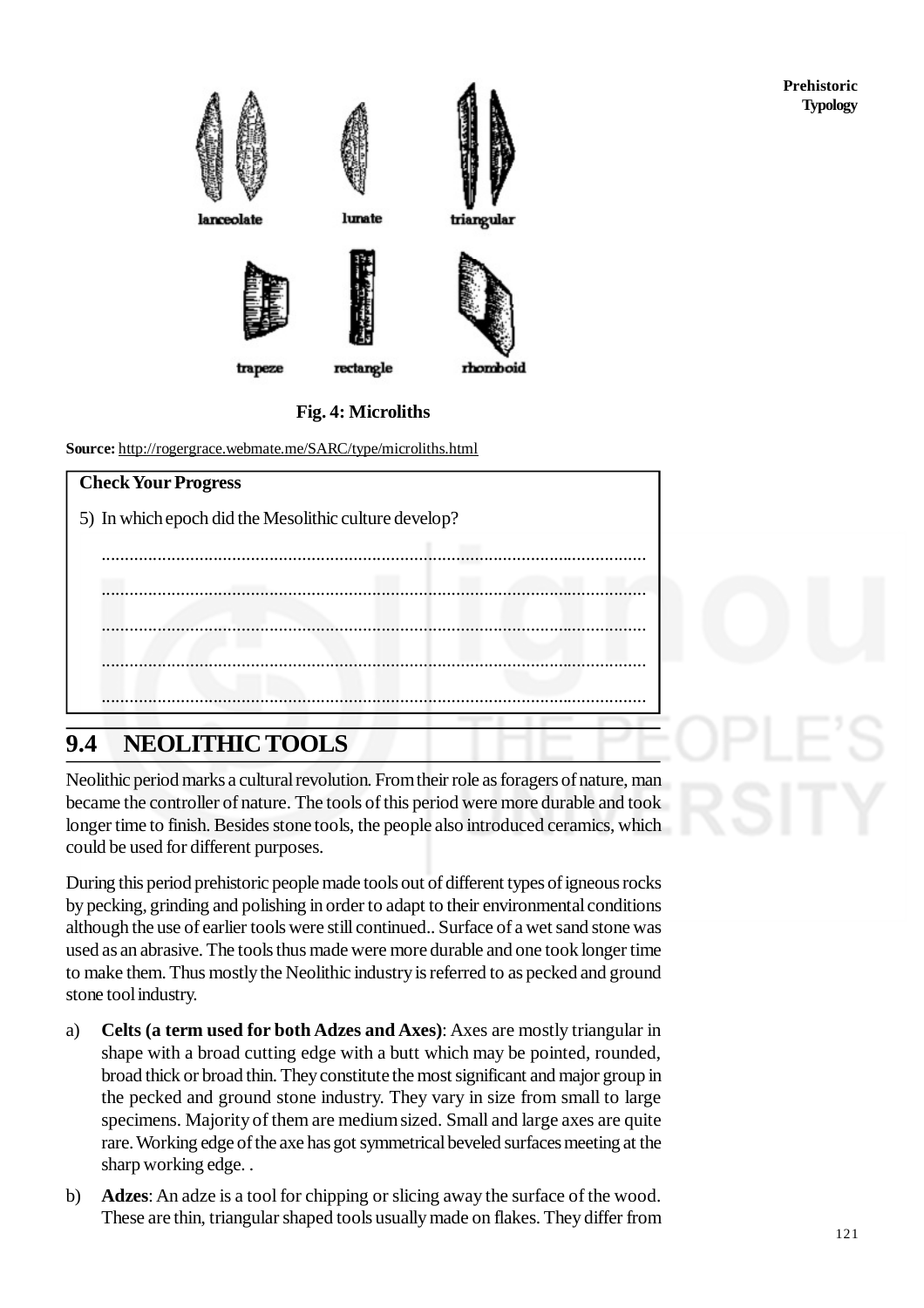

#### **Fig. 4: Microliths**

**Source:** <http://rogergrace.webmate.me/SARC/type/microliths.html>

| <b>Check Your Progress</b>                            |
|-------------------------------------------------------|
| 5) In which epoch did the Mesolithic culture develop? |
|                                                       |
|                                                       |
|                                                       |
|                                                       |
|                                                       |
|                                                       |

# **9.4 NEOLITHIC TOOLS**

Neolithic period marks a cultural revolution. From their role as foragers of nature, man became the controller of nature. The tools of this period were more durable and took longer time to finish. Besides stone tools, the people also introduced ceramics, which could be used for different purposes.

During this period prehistoric people made tools out of different types of igneous rocks by pecking, grinding and polishing in order to adapt to their environmental conditions although the use of earlier tools were still continued.. Surface of a wet sand stone was used as an abrasive. The tools thus made were more durable and one took longer time to make them. Thus mostly the Neolithic industry is referred to as pecked and ground stone tool industry.

- a) **Celts (a term used for both Adzes and Axes)**: Axes are mostly triangular in shape with a broad cutting edge with a butt which may be pointed, rounded, broad thick or broad thin. They constitute the most significant and major group in the pecked and ground stone industry. They vary in size from small to large specimens. Majority of them are medium sized. Small and large axes are quite rare. Working edge of the axe has got symmetrical beveled surfaces meeting at the sharp working edge. .
- b) **Adzes**: An adze is a tool for chipping or slicing away the surface of the wood. These are thin, triangular shaped tools usually made on flakes. They differ from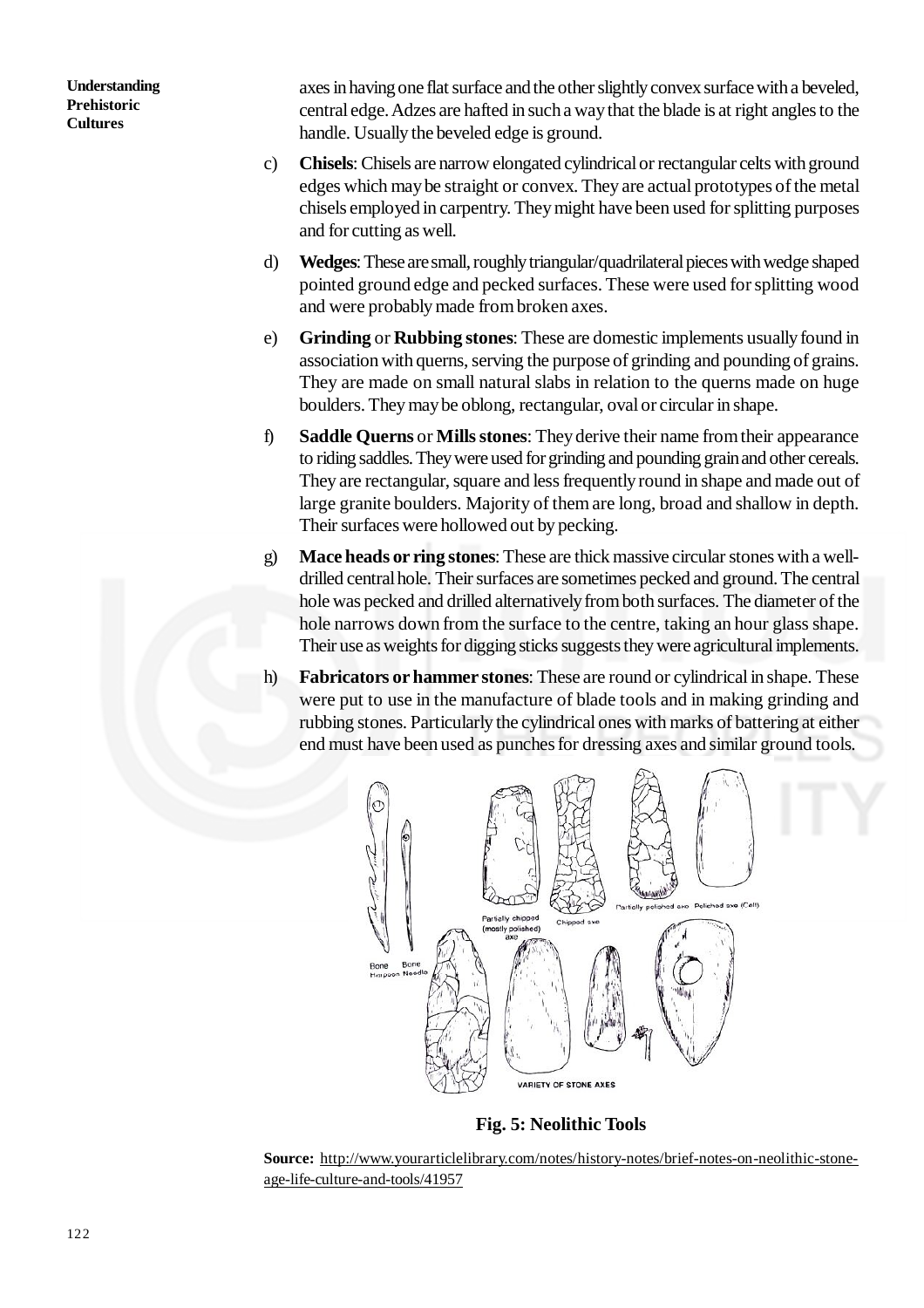axes in having one flat surface and the other slightly convex surface with a beveled, central edge. Adzes are hafted in such a way that the blade is at right angles to the handle. Usually the beveled edge is ground.

- c) **Chisels**: Chisels are narrow elongated cylindrical or rectangular celts with ground edges which may be straight or convex. They are actual prototypes of the metal chisels employed in carpentry. They might have been used for splitting purposes and for cutting as well.
- d) **Wedges**: These are small, roughly triangular/quadrilateral pieces with wedge shaped pointed ground edge and pecked surfaces. These were used for splitting wood and were probably made from broken axes.
- e) **Grinding** or **Rubbing stones**: These are domestic implements usually found in association with querns, serving the purpose of grinding and pounding of grains. They are made on small natural slabs in relation to the querns made on huge boulders. They may be oblong, rectangular, oval or circular in shape.
- f) **Saddle Querns** or **Mills stones**: They derive their name from their appearance to riding saddles. They were used for grinding and pounding grain and other cereals. They are rectangular, square and less frequently round in shape and made out of large granite boulders. Majority of them are long, broad and shallow in depth. Their surfaces were hollowed out by pecking.
- g) **Mace heads or ring stones**: These are thick massive circular stones with a welldrilled central hole. Their surfaces are sometimes pecked and ground. The central hole was pecked and drilled alternatively from both surfaces. The diameter of the hole narrows down from the surface to the centre, taking an hour glass shape. Their use as weights for digging sticks suggests they were agricultural implements.
- h) **Fabricators or hammer stones**: These are round or cylindrical in shape. These were put to use in the manufacture of blade tools and in making grinding and rubbing stones. Particularly the cylindrical ones with marks of battering at either end must have been used as punches for dressing axes and similar ground tools.



**Fig. 5: Neolithic Tools**

**Source:** [http://www.yourarticlelibrary.com/notes/history-notes/brief-notes-on-neolithic-stone](http://www.yourarticlelibrary.com/notes/history-notes/brief-notes-on-neolithic-stone-)age-life-culture-and-tools/41957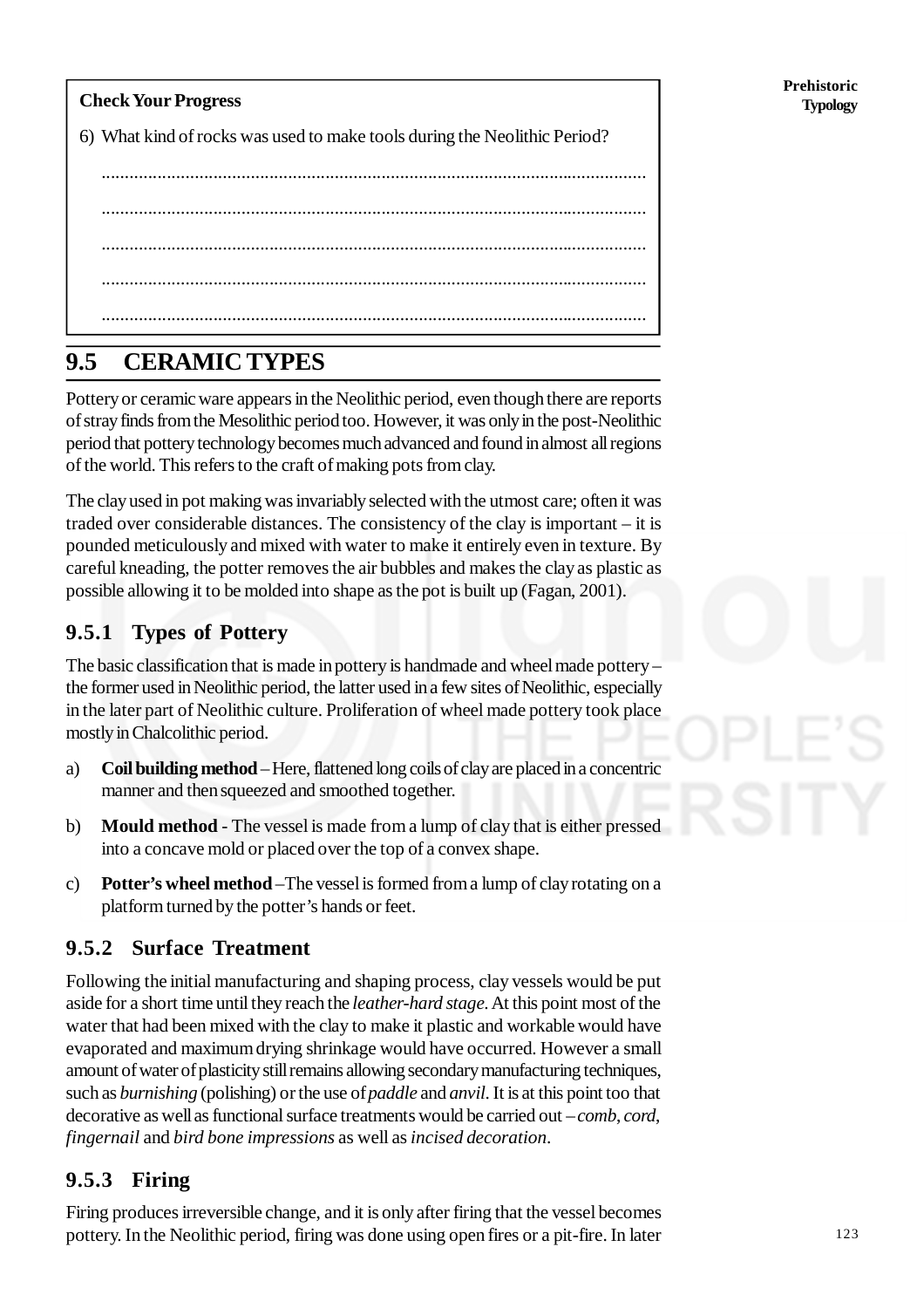**Check Your Progress** 6) What kind of rocks was used to make tools during the Neolithic Period? ..................................................................................................................... .....................................................................................................................

..................................................................................................................... ..................................................................................................................... .....................................................................................................................

# **9.5 CERAMIC TYPES**

Pottery or ceramic ware appears in the Neolithic period, even though there are reports of stray finds from the Mesolithic period too. However, it was only in the post-Neolithic period that pottery technology becomes much advanced and found in almost all regions of the world. This refers to the craft of making pots from clay.

The clay used in pot making was invariably selected with the utmost care; often it was traded over considerable distances. The consistency of the clay is important – it is pounded meticulously and mixed with water to make it entirely even in texture. By careful kneading, the potter removes the air bubbles and makes the clay as plastic as possible allowing it to be molded into shape as the pot is built up (Fagan, 2001).

## **9.5.1 Types of Pottery**

The basic classification that is made in pottery is handmade and wheel made pottery – the former used in Neolithic period, the latter used in a few sites of Neolithic, especially in the later part of Neolithic culture. Proliferation of wheel made pottery took place mostly in Chalcolithic period.

- a) **Coil building method** Here, flattened long coils of clay are placed in a concentric manner and then squeezed and smoothed together.
- b) **Mould method** The vessel is made from a lump of clay that is either pressed into a concave mold or placed over the top of a convex shape.
- c) **Potter's wheel method** –The vessel is formed from a lump of clay rotating on a platform turned by the potter's hands or feet.

## **9.5.2 Surface Treatment**

Following the initial manufacturing and shaping process, clay vessels would be put aside for a short time until they reach the *leather-hard stage*. At this point most of the water that had been mixed with the clay to make it plastic and workable would have evaporated and maximum drying shrinkage would have occurred. However a small amount of water of plasticity still remains allowing secondary manufacturing techniques, such as *burnishing* (polishing) or the use of *paddle* and *anvil*. It is at this point too that decorative as well as functional surface treatments would be carried out – *comb*, *cord*, *fingernail* and *bird bone impressions* as well as *incised decoration*.

## **9.5.3 Firing**

Firing produces irreversible change, and it is only after firing that the vessel becomes pottery. In the Neolithic period, firing was done using open fires or a pit-fire. In later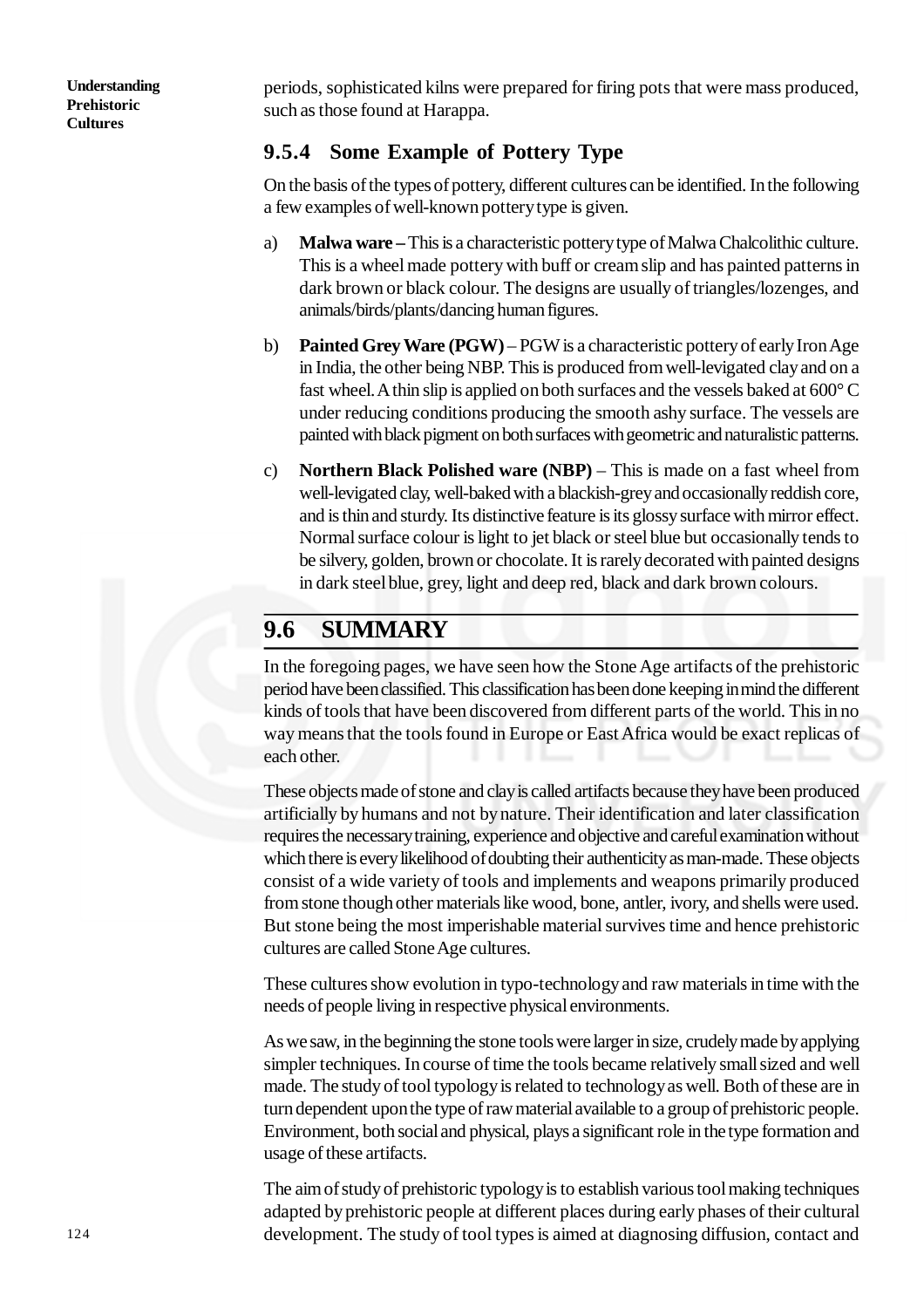periods, sophisticated kilns were prepared for firing pots that were mass produced, such as those found at Harappa.

## **9.5.4 Some Example of Pottery Type**

On the basis of the types of pottery, different cultures can be identified. In the following a few examples of well-known pottery type is given.

- a) **Malwa ware** This is a characteristic pottery type of Malwa Chalcolithic culture. This is a wheel made pottery with buff or cream slip and has painted patterns in dark brown or black colour. The designs are usually of triangles/lozenges, and animals/birds/plants/dancing human figures.
- b) **Painted Grey Ware (PGW)** PGW is a characteristic pottery of early Iron Age in India, the other being NBP. This is produced from well-levigated clay and on a fast wheel. A thin slip is applied on both surfaces and the vessels baked at 600° C under reducing conditions producing the smooth ashy surface. The vessels are painted with black pigment on both surfaces with geometric and naturalistic patterns.
- c) **Northern Black Polished ware (NBP)** This is made on a fast wheel from well-levigated clay, well-baked with a blackish-grey and occasionally reddish core, and is thin and sturdy. Its distinctive feature is its glossy surface with mirror effect. Normal surface colour is light to jet black or steel blue but occasionally tends to be silvery, golden, brown or chocolate. It is rarely decorated with painted designs in dark steel blue, grey, light and deep red, black and dark brown colours.

## **9.6 SUMMARY**

In the foregoing pages, we have seen how the Stone Age artifacts of the prehistoric period have been classified. This classification has been done keeping in mind the different kinds of tools that have been discovered from different parts of the world. This in no way means that the tools found in Europe or East Africa would be exact replicas of each other.

These objects made of stone and clay is called artifacts because they have been produced artificially by humans and not by nature. Their identification and later classification requires the necessary training, experience and objective and careful examination without which there is every likelihood of doubting their authenticity as man-made. These objects consist of a wide variety of tools and implements and weapons primarily produced from stone though other materials like wood, bone, antler, ivory, and shells were used. But stone being the most imperishable material survives time and hence prehistoric cultures are called Stone Age cultures.

These cultures show evolution in typo-technology and raw materials in time with the needs of people living in respective physical environments.

As we saw, in the beginning the stone tools were larger in size, crudely made by applying simpler techniques. In course of time the tools became relatively small sized and well made. The study of tool typology is related to technology as well. Both of these are in turn dependent upon the type of raw material available to a group of prehistoric people. Environment, both social and physical, plays a significant role in the type formation and usage of these artifacts.

The aim of study of prehistoric typology is to establish various tool making techniques adapted by prehistoric people at different places during early phases of their cultural development. The study of tool types is aimed at diagnosing diffusion, contact and